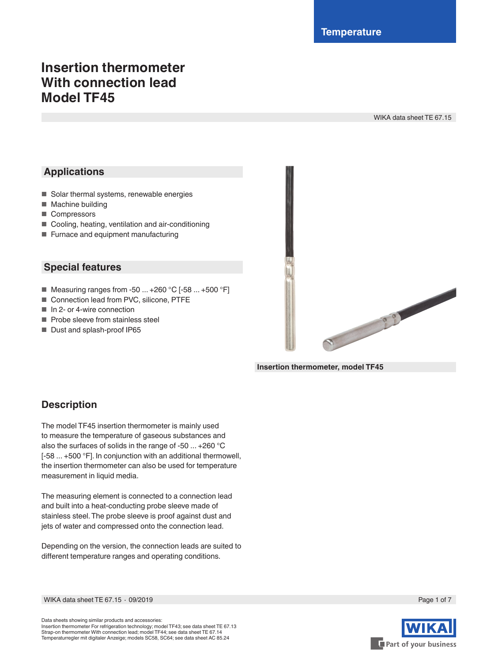# **Insertion thermometer With connection lead Model TF45**

WIKA data sheet TE 67.15

## **Applications**

- Solar thermal systems, renewable energies
- Machine building
- Compressors
- Cooling, heating, ventilation and air-conditioning
- Furnace and equipment manufacturing

### **Special features**

- Measuring ranges from -50 ... +260 °C [-58 ... +500 °F]
- Connection lead from PVC, silicone, PTFE
- In 2- or 4-wire connection
- Probe sleeve from stainless steel
- Dust and splash-proof IP65



**Insertion thermometer, model TF45**

## **Description**

The model TF45 insertion thermometer is mainly used to measure the temperature of gaseous substances and also the surfaces of solids in the range of -50 ... +260 °C [-58 ... +500 °F]. In conjunction with an additional thermowell, the insertion thermometer can also be used for temperature measurement in liquid media.

The measuring element is connected to a connection lead and built into a heat-conducting probe sleeve made of stainless steel. The probe sleeve is proof against dust and jets of water and compressed onto the connection lead.

Depending on the version, the connection leads are suited to different temperature ranges and operating conditions.



WIKA data sheet TE 67.15 ⋅ 09/2019 Page 1 of 7

Data sheets showing similar products and accessories: Insertion thermometer For refrigeration technology; model TF43; see data sheet TE 67.13 Strap-on thermometer With connection lead; model TF44; see data sheet TE 67.14 Temperaturregler mit digitaler Anzeige; models SC58, SC64; see data sheet AC 85.24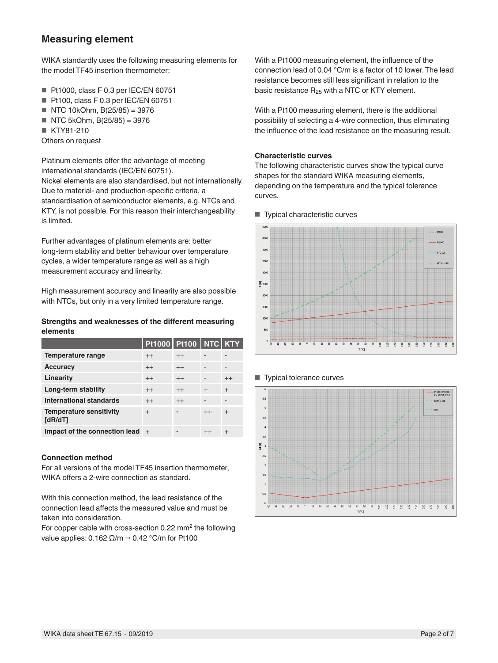### **Measuring element**

WIKA standardly uses the following measuring elements for the model TF45 insertion thermometer:

- Pt1000, class F 0.3 per IEC/EN 60751
- Pt100, class F 0.3 per IEC/EN 60751
- NTC 10kOhm, B(25/85) = 3976
- $\blacksquare$  NTC 5kOhm, B(25/85) = 3976
- KTY81-210
- Others on request

Platinum elements offer the advantage of meeting international standards (IEC/EN 60751).

Nickel elements are also standardised, but not internationally. Due to material- and production-specific criteria, a standardisation of semiconductor elements, e.g. NTCs and KTY, is not possible. For this reason their interchangeability is limited.

Further advantages of platinum elements are: better long-term stability and better behaviour over temperature cycles, a wider temperature range as well as a high measurement accuracy and linearity.

High measurement accuracy and linearity are also possible with NTCs, but only in a very limited temperature range.

#### **Strengths and weaknesses of the different measuring elements**

|                                           | <b>Pt1000 Pt100 NTC KTY</b> |         |           |           |
|-------------------------------------------|-----------------------------|---------|-----------|-----------|
| Temperature range                         | $^{++}$                     | $^{++}$ |           |           |
| <b>Accuracy</b>                           | $^{++}$                     | $^{++}$ |           |           |
| Linearity                                 | $^{++}$                     | $^{++}$ | -         | $++$      |
| Long-term stability                       | $^{++}$                     | $^{++}$ | $\ddot{}$ | $\ddot{}$ |
| <b>International standards</b>            | $^{++}$                     | $++$    | ٠         |           |
| <b>Temperature sensitivity</b><br>[dR/dT] | $\ddot{}$                   |         | $^{++}$   | $\ddot{}$ |
| Impact of the connection lead $+$         |                             |         | $^{++}$   | $\div$    |

#### **Connection method**

For all versions of the model TF45 insertion thermometer, WIKA offers a 2-wire connection as standard.

With this connection method, the lead resistance of the connection lead affects the measured value and must be taken into consideration.

For copper cable with cross-section 0.22 mm<sup>2</sup> the following value applies:  $0.162 \Omega/m \rightarrow 0.42 \degree C/m$  for Pt100

With a Pt1000 measuring element, the influence of the connection lead of 0.04 °C/m is a factor of 10 lower. The lead resistance becomes still less significant in relation to the basic resistance  $R_{25}$  with a NTC or KTY element.

With a Pt100 measuring element, there is the additional possibility of selecting a 4-wire connection, thus eliminating the influence of the lead resistance on the measuring result.

#### **Characteristic curves**

The following characteristic curves show the typical curve shapes for the standard WIKA measuring elements, depending on the temperature and the typical tolerance curves.

■ Typical characteristic curves





#### ■ Typical tolerance curves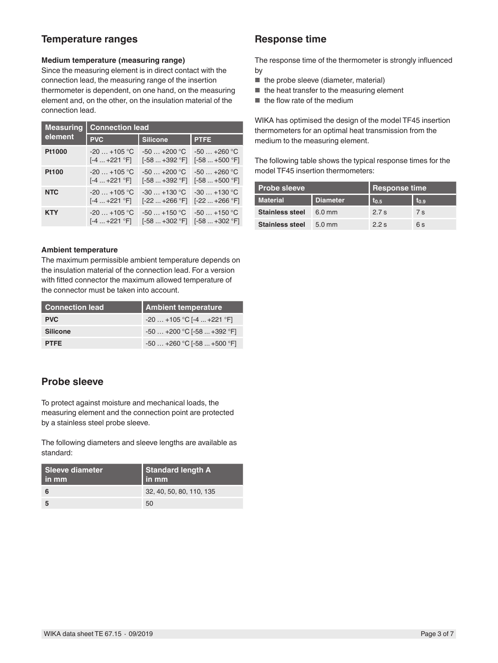### **Temperature ranges**

#### **Medium temperature (measuring range)**

Since the measuring element is in direct contact with the connection lead, the measuring range of the insertion thermometer is dependent, on one hand, on the measuring element and, on the other, on the insulation material of the connection lead.

| <b>Measuring</b> | <b>Connection lead</b> |                 |                 |  |
|------------------|------------------------|-----------------|-----------------|--|
| element          | <b>PVC</b>             | <b>Silicone</b> | <b>PTFE</b>     |  |
| Pt1000           | $-20$ $+105$ °C        | $-50+200$ °C    | $-50+260$ °C    |  |
|                  | [-4  +221 °F]          | $[-58+392 °F]$  | $[-58+500 °F]$  |  |
| <b>Pt100</b>     | $-20$ $+105$ °C        | $-50+200$ °C    | $-50 - +260$ °C |  |
|                  | [-4  +221 °F]          | $[-58+392 °F]$  | $[-58+500 °F]$  |  |
| <b>NTC</b>       | $-20$ $+105$ °C        | $-30 - +130$ °C | $-30+130$ °C    |  |
|                  | [-4  +221 °F]          | $[-22+266 °F]$  | $[-22+266 °F]$  |  |
| <b>KTY</b>       | $-20$ $+105$ °C        | $-50+150$ °C    | $-50+150$ °C    |  |
|                  | [-4  +221 °F]          | $[-58+302 °F]$  | $[-58+302 °F]$  |  |

#### **Ambient temperature**

The maximum permissible ambient temperature depends on the insulation material of the connection lead. For a version with fitted connector the maximum allowed temperature of the connector must be taken into account.

| <b>Connection lead</b> | <b>Ambient temperature</b>   |
|------------------------|------------------------------|
| <b>PVC</b>             | $-20+105$ °C [-4  +221 °F]   |
| <b>Silicone</b>        | $-50+200$ °C [ $-58+392$ °F] |
| <b>PTFE</b>            | $-50+260$ °C [ $-58+500$ °F] |

## **Probe sleeve**

To protect against moisture and mechanical loads, the measuring element and the connection point are protected by a stainless steel probe sleeve.

The following diameters and sleeve lengths are available as standard:

| <b>Sleeve diameter</b><br>in mm | Standard length A<br>in mm |
|---------------------------------|----------------------------|
|                                 | 32, 40, 50, 80, 110, 135   |
| 5                               | 50                         |

### **Response time**

The response time of the thermometer is strongly influenced by

- the probe sleeve (diameter, material)
- the heat transfer to the measuring element
- the flow rate of the medium

WIKA has optimised the design of the model TF45 insertion thermometers for an optimal heat transmission from the medium to the measuring element.

The following table shows the typical response times for the model TF45 insertion thermometers:

| Probe sleeve           |                  | <b>Response time</b> |                  |
|------------------------|------------------|----------------------|------------------|
| <b>Material</b>        | <b>Diameter</b>  | $t_{0.5}$            | t <sub>0.9</sub> |
| <b>Stainless steel</b> | $6.0 \text{ mm}$ | 2.7 s                | 7 s              |
| <b>Stainless steel</b> | $5.0$ mm         | 2.2 s                | 6 s              |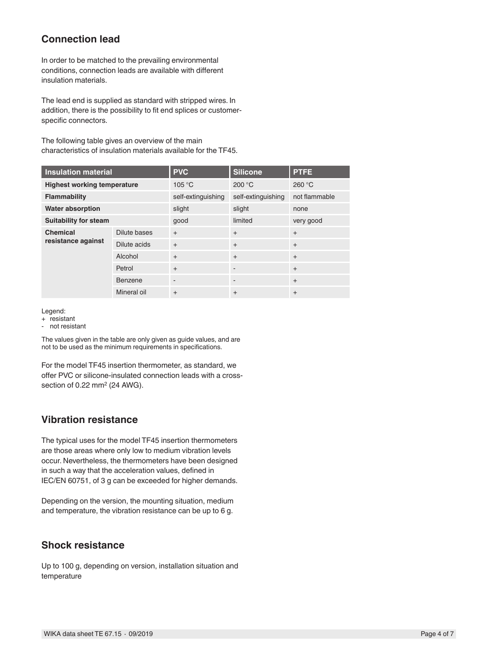## **Connection lead**

In order to be matched to the prevailing environmental conditions, connection leads are available with different insulation materials.

The lead end is supplied as standard with stripped wires. In addition, there is the possibility to fit end splices or customerspecific connectors.

The following table gives an overview of the main characteristics of insulation materials available for the TF45.

| <b>Insulation material</b>            |                | <b>PVC</b>               | <b>Silicone</b>              | <b>PTFE</b>   |
|---------------------------------------|----------------|--------------------------|------------------------------|---------------|
| <b>Highest working temperature</b>    |                | 105 °C                   | 200 °C                       | 260 °C        |
| <b>Flammability</b>                   |                | self-extinguishing       | self-extinguishing           | not flammable |
| <b>Water absorption</b>               |                | slight                   | slight                       | none          |
| <b>Suitability for steam</b>          |                | good                     | limited                      | very good     |
| <b>Chemical</b><br>resistance against | Dilute bases   | $+$                      | $+$                          | $+$           |
|                                       | Dilute acids   | $+$                      | $+$                          | $+$           |
|                                       | Alcohol        | $+$                      | $+$                          | $+$           |
|                                       | Petrol         | $+$                      |                              | $+$           |
|                                       | <b>Benzene</b> | $\overline{\phantom{a}}$ | $\qquad \qquad \blacksquare$ | $+$           |
|                                       | Mineral oil    | $\ddot{}$                | $+$                          | $+$           |

Legend:

not resistant

The values given in the table are only given as guide values, and are not to be used as the minimum requirements in specifications.

For the model TF45 insertion thermometer, as standard, we offer PVC or silicone-insulated connection leads with a crosssection of 0.22 mm<sup>2</sup> (24 AWG).

### **Vibration resistance**

The typical uses for the model TF45 insertion thermometers are those areas where only low to medium vibration levels occur. Nevertheless, the thermometers have been designed in such a way that the acceleration values, defined in IEC/EN 60751, of 3 g can be exceeded for higher demands.

Depending on the version, the mounting situation, medium and temperature, the vibration resistance can be up to 6 g.

## **Shock resistance**

Up to 100 g, depending on version, installation situation and temperature

<sup>+</sup> resistant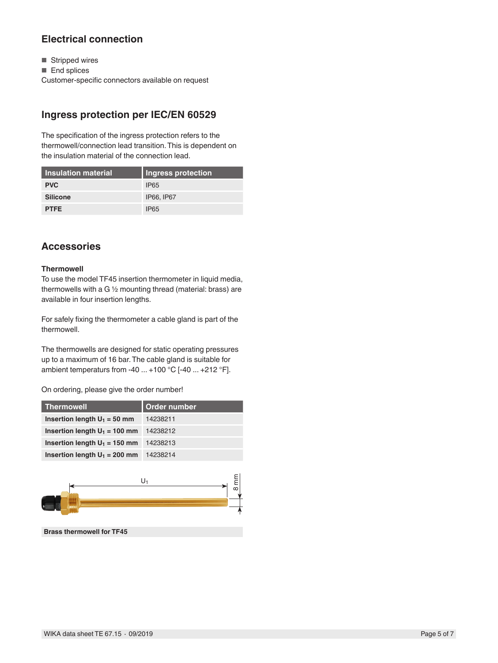## **Electrical connection**

- Stripped wires
- End splices

Customer-specific connectors available on request

## **Ingress protection per IEC/EN 60529**

The specification of the ingress protection refers to the thermowell/connection lead transition. This is dependent on the insulation material of the connection lead.

| Insulation material | <b>Ingress protection</b> |
|---------------------|---------------------------|
| <b>PVC</b>          | <b>IP65</b>               |
| <b>Silicone</b>     | IP66, IP67                |
| <b>PTFE</b>         | <b>IP65</b>               |

## **Accessories**

#### **Thermowell**

To use the model TF45 insertion thermometer in liquid media, thermowells with a G ½ mounting thread (material: brass) are available in four insertion lengths.

For safely fixing the thermometer a cable gland is part of the thermowell.

The thermowells are designed for static operating pressures up to a maximum of 16 bar. The cable gland is suitable for ambient temperaturs from -40 ... +100 °C [-40 ... +212 °F].

On ordering, please give the order number!

| <b>Thermowell</b>               | Order number |
|---------------------------------|--------------|
| Insertion length $U_1 = 50$ mm  | 14238211     |
| Insertion length $U_1 = 100$ mm | 14238212     |
| Insertion length $U_1 = 150$ mm | 14238213     |
| Insertion length $U_1 = 200$ mm | 14238214     |



**Brass thermowell for TF45**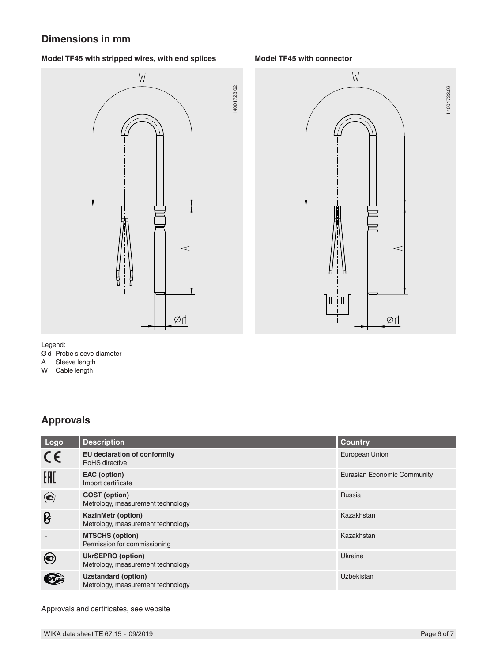### **Dimensions in mm**

#### **Model TF45 with stripped wires, with end splices Model TF45 with connector**





14001723.02

#### Legend:

Ød Probe sleeve diameter

A Sleeve length

W Cable length

## **Approvals**

| Logo                      | <b>Description</b>                                              | <b>Country</b>              |
|---------------------------|-----------------------------------------------------------------|-----------------------------|
| $C \in$                   | <b>EU declaration of conformity</b><br>RoHS directive           | European Union              |
| EAC                       | EAC (option)<br>Import certificate                              | Eurasian Economic Community |
| $\left( \bigodot \right)$ | <b>GOST</b> (option)<br>Metrology, measurement technology       | Russia                      |
| ၆                         | <b>KazinMetr (option)</b><br>Metrology, measurement technology  | Kazakhstan                  |
|                           | <b>MTSCHS (option)</b><br>Permission for commissioning          | Kazakhstan                  |
|                           | <b>UkrSEPRO</b> (option)<br>Metrology, measurement technology   | Ukraine                     |
|                           | <b>Uzstandard (option)</b><br>Metrology, measurement technology | Uzbekistan                  |

14001723.02

Approvals and certificates, see website